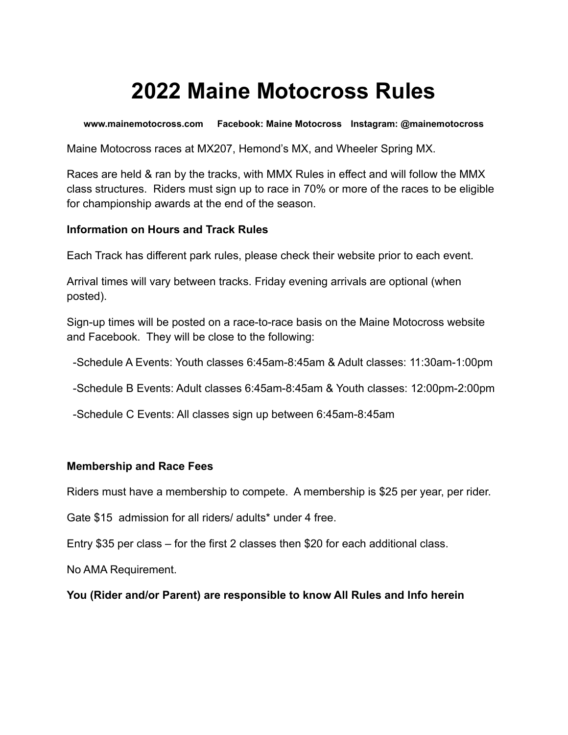# **2022 Maine Motocross Rules**

**www.mainemotocross.com Facebook: Maine Motocross Instagram: @mainemotocross**

Maine Motocross races at MX207, Hemond's MX, and Wheeler Spring MX.

Races are held & ran by the tracks, with MMX Rules in effect and will follow the MMX class structures. Riders must sign up to race in 70% or more of the races to be eligible for championship awards at the end of the season.

#### **Information on Hours and Track Rules**

Each Track has different park rules, please check their website prior to each event.

Arrival times will vary between tracks. Friday evening arrivals are optional (when posted).

Sign-up times will be posted on a race-to-race basis on the Maine Motocross website and Facebook. They will be close to the following:

-Schedule A Events: Youth classes 6:45am-8:45am & Adult classes: 11:30am-1:00pm

-Schedule B Events: Adult classes 6:45am-8:45am & Youth classes: 12:00pm-2:00pm

-Schedule C Events: All classes sign up between 6:45am-8:45am

#### **Membership and Race Fees**

Riders must have a membership to compete. A membership is \$25 per year, per rider.

Gate \$15 admission for all riders/ adults\* under 4 free.

Entry \$35 per class – for the first 2 classes then \$20 for each additional class.

No AMA Requirement.

**You (Rider and/or Parent) are responsible to know All Rules and Info herein**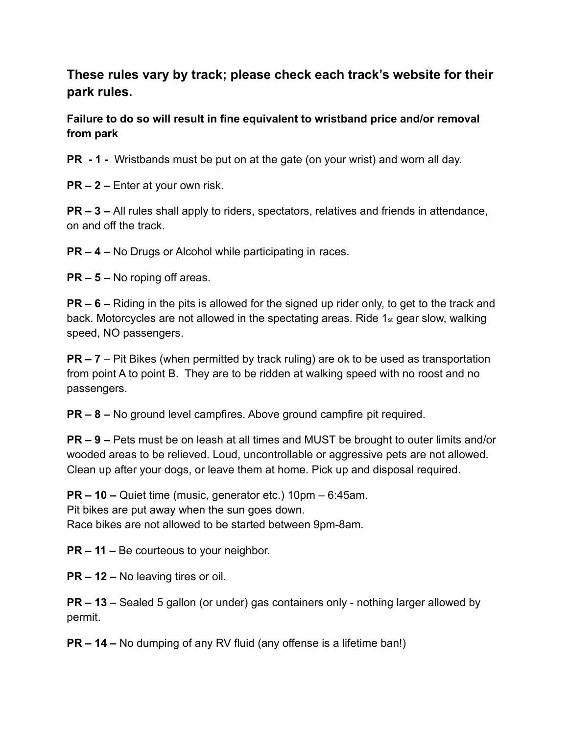**These rules vary by track; please check each track's website for their park rules.**

**Failure to do so will result in fine equivalent to wristband price and/or removal from park**

**PR - 1 -** Wristbands must be put on at the gate (on your wrist) and worn all day.

**PR – 2 –** Enter at your own risk.

**PR – 3 –** All rules shall apply to riders, spectators, relatives and friends in attendance, on and off the track.

**PR – 4 –** No Drugs or Alcohol while participating in races.

**PR – 5 –** No roping off areas.

**PR – 6 –** Riding in the pits is allowed for the signed up rider only, to get to the track and back. Motorcycles are not allowed in the spectating areas. Ride 1st gear slow, walking speed, NO passengers.

**PR – 7** – Pit Bikes (when permitted by track ruling) are ok to be used as transportation from point A to point B. They are to be ridden at walking speed with no roost and no passengers.

**PR – 8 –** No ground level campfires. Above ground campfire pit required.

**PR – 9 –** Pets must be on leash at all times and MUST be brought to outer limits and/or wooded areas to be relieved. Loud, uncontrollable or aggressive pets are not allowed. Clean up after your dogs, or leave them at home. Pick up and disposal required.

**PR – 10 –** Quiet time (music, generator etc.) 10pm – 6:45am. Pit bikes are put away when the sun goes down. Race bikes are not allowed to be started between 9pm-8am.

**PR – 11 –** Be courteous to your neighbor.

**PR – 12 –** No leaving tires or oil.

**PR – 13** – Sealed 5 gallon (or under) gas containers only - nothing larger allowed by permit.

**PR – 14 –** No dumping of any RV fluid (any offense is a lifetime ban!)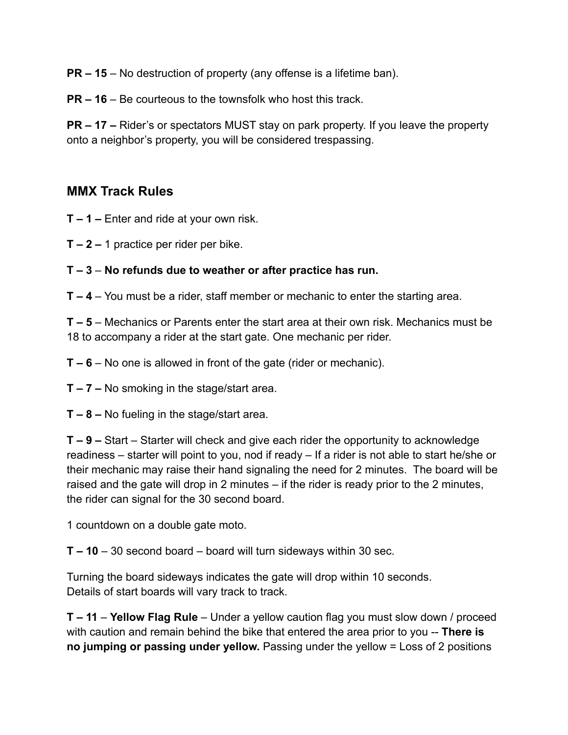**PR – 15** – No destruction of property (any offense is a lifetime ban).

**PR – 16** – Be courteous to the townsfolk who host this track.

**PR – 17 –** Rider's or spectators MUST stay on park property. If you leave the property onto a neighbor's property, you will be considered trespassing.

## **MMX Track Rules**

**T – 1 –** Enter and ride at your own risk.

- **T 2 –** 1 practice per rider per bike.
- **T 3 No refunds due to weather or after practice has run.**
- **T 4** You must be a rider, staff member or mechanic to enter the starting area.

**T – 5** – Mechanics or Parents enter the start area at their own risk. Mechanics must be 18 to accompany a rider at the start gate. One mechanic per rider.

**T – 6** – No one is allowed in front of the gate (rider or mechanic).

**T – 7 –** No smoking in the stage/start area.

**T – 8 –** No fueling in the stage/start area.

**T – 9 –** Start – Starter will check and give each rider the opportunity to acknowledge readiness – starter will point to you, nod if ready – If a rider is not able to start he/she or their mechanic may raise their hand signaling the need for 2 minutes. The board will be raised and the gate will drop in 2 minutes – if the rider is ready prior to the 2 minutes, the rider can signal for the 30 second board.

1 countdown on a double gate moto.

**T – 10** – 30 second board – board will turn sideways within 30 sec.

Turning the board sideways indicates the gate will drop within 10 seconds. Details of start boards will vary track to track.

**T – 11** – **Yellow Flag Rule** – Under a yellow caution flag you must slow down / proceed with caution and remain behind the bike that entered the area prior to you -- **There is no jumping or passing under yellow.** Passing under the yellow = Loss of 2 positions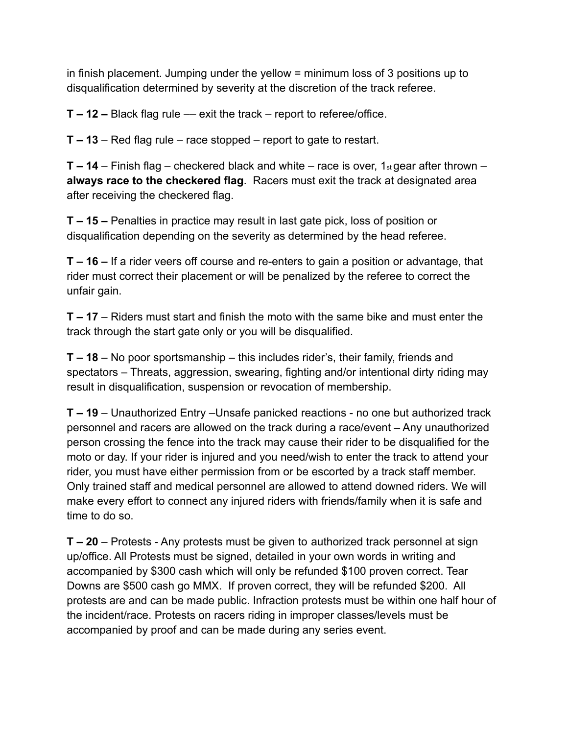in finish placement. Jumping under the yellow = minimum loss of 3 positions up to disqualification determined by severity at the discretion of the track referee.

**T – 12 –** Black flag rule –– exit the track – report to referee/office.

**T – 13** – Red flag rule – race stopped – report to gate to restart.

**T – 14** – Finish flag – checkered black and white – race is over, 1<sub>st</sub> gear after thrown – **always race to the checkered flag**. Racers must exit the track at designated area after receiving the checkered flag.

**T – 15 –** Penalties in practice may result in last gate pick, loss of position or disqualification depending on the severity as determined by the head referee.

**T – 16 –** If a rider veers off course and re-enters to gain a position or advantage, that rider must correct their placement or will be penalized by the referee to correct the unfair gain.

**T – 17** – Riders must start and finish the moto with the same bike and must enter the track through the start gate only or you will be disqualified.

**T – 18** – No poor sportsmanship – this includes rider's, their family, friends and spectators – Threats, aggression, swearing, fighting and/or intentional dirty riding may result in disqualification, suspension or revocation of membership.

**T – 19** – Unauthorized Entry –Unsafe panicked reactions - no one but authorized track personnel and racers are allowed on the track during a race/event – Any unauthorized person crossing the fence into the track may cause their rider to be disqualified for the moto or day. If your rider is injured and you need/wish to enter the track to attend your rider, you must have either permission from or be escorted by a track staff member. Only trained staff and medical personnel are allowed to attend downed riders. We will make every effort to connect any injured riders with friends/family when it is safe and time to do so.

**T – 20** – Protests - Any protests must be given to authorized track personnel at sign up/office. All Protests must be signed, detailed in your own words in writing and accompanied by \$300 cash which will only be refunded \$100 proven correct. Tear Downs are \$500 cash go MMX. If proven correct, they will be refunded \$200. All protests are and can be made public. Infraction protests must be within one half hour of the incident/race. Protests on racers riding in improper classes/levels must be accompanied by proof and can be made during any series event.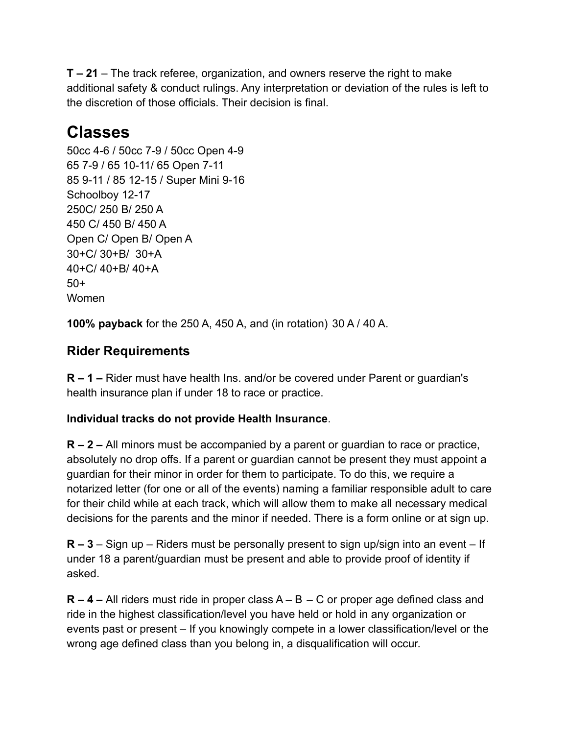**T – 21** – The track referee, organization, and owners reserve the right to make additional safety & conduct rulings. Any interpretation or deviation of the rules is left to the discretion of those officials. Their decision is final.

## **Classes**

50cc 4-6 / 50cc 7-9 / 50cc Open 4-9 65 7-9 / 65 10-11/ 65 Open 7-11 85 9-11 / 85 12-15 / Super Mini 9-16 Schoolboy 12-17 250C/ 250 B/ 250 A 450 C/ 450 B/ 450 A Open C/ Open B/ Open A 30+C/ 30+B/ 30+A 40+C/ 40+B/ 40+A 50+ Women

**100% payback** for the 250 A, 450 A, and (in rotation) 30 A / 40 A.

## **Rider Requirements**

**R – 1 –** Rider must have health Ins. and/or be covered under Parent or guardian's health insurance plan if under 18 to race or practice.

#### **Individual tracks do not provide Health Insurance**.

**R – 2 –** All minors must be accompanied by a parent or guardian to race or practice, absolutely no drop offs. If a parent or guardian cannot be present they must appoint a guardian for their minor in order for them to participate. To do this, we require a notarized letter (for one or all of the events) naming a familiar responsible adult to care for their child while at each track, which will allow them to make all necessary medical decisions for the parents and the minor if needed. There is a form online or at sign up.

**R – 3** – Sign up – Riders must be personally present to sign up/sign into an event – If under 18 a parent/guardian must be present and able to provide proof of identity if asked.

**R – 4 –** All riders must ride in proper class A – B – C or proper age defined class and ride in the highest classification/level you have held or hold in any organization or events past or present – If you knowingly compete in a lower classification/level or the wrong age defined class than you belong in, a disqualification will occur.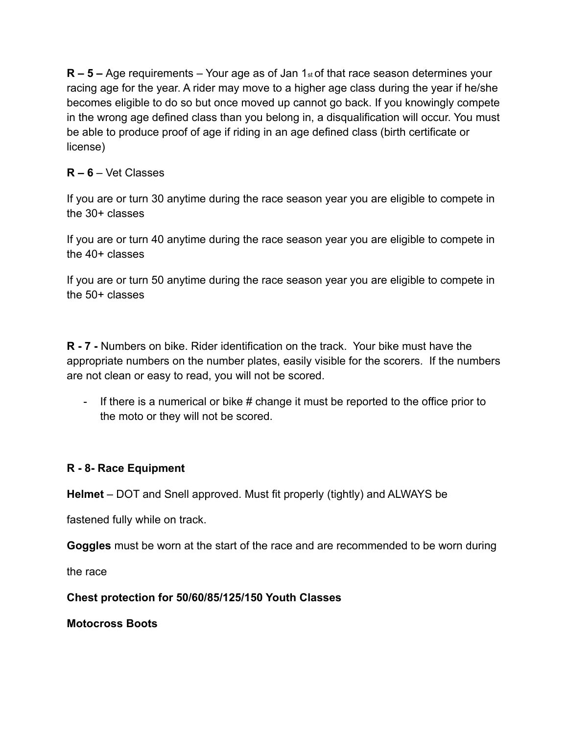**R – 5 –** Age requirements – Your age as of Jan 1<sub>st</sub> of that race season determines your racing age for the year. A rider may move to a higher age class during the year if he/she becomes eligible to do so but once moved up cannot go back. If you knowingly compete in the wrong age defined class than you belong in, a disqualification will occur. You must be able to produce proof of age if riding in an age defined class (birth certificate or license)

#### **R – 6** – Vet Classes

If you are or turn 30 anytime during the race season year you are eligible to compete in the 30+ classes

If you are or turn 40 anytime during the race season year you are eligible to compete in the 40+ classes

If you are or turn 50 anytime during the race season year you are eligible to compete in the 50+ classes

**R - 7 -** Numbers on bike. Rider identification on the track. Your bike must have the appropriate numbers on the number plates, easily visible for the scorers. If the numbers are not clean or easy to read, you will not be scored.

- If there is a numerical or bike # change it must be reported to the office prior to the moto or they will not be scored.

#### **R - 8- Race Equipment**

**Helmet** – DOT and Snell approved. Must fit properly (tightly) and ALWAYS be

fastened fully while on track.

**Goggles** must be worn at the start of the race and are recommended to be worn during

the race

**Chest protection for 50/60/85/125/150 Youth Classes**

**Motocross Boots**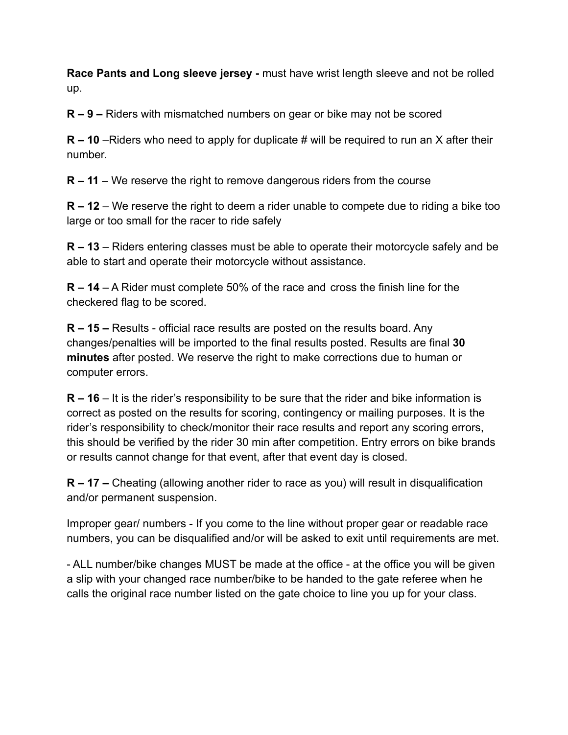**Race Pants and Long sleeve jersey -** must have wrist length sleeve and not be rolled up.

**R – 9 –** Riders with mismatched numbers on gear or bike may not be scored

**R – 10** –Riders who need to apply for duplicate # will be required to run an X after their number.

**R – 11** – We reserve the right to remove dangerous riders from the course

**R – 12** – We reserve the right to deem a rider unable to compete due to riding a bike too large or too small for the racer to ride safely

**R – 13** – Riders entering classes must be able to operate their motorcycle safely and be able to start and operate their motorcycle without assistance.

**R – 14** – A Rider must complete 50% of the race and cross the finish line for the checkered flag to be scored.

**R – 15 –** Results - official race results are posted on the results board. Any changes/penalties will be imported to the final results posted. Results are final **30 minutes** after posted. We reserve the right to make corrections due to human or computer errors.

**R – 16** – It is the rider's responsibility to be sure that the rider and bike information is correct as posted on the results for scoring, contingency or mailing purposes. It is the rider's responsibility to check/monitor their race results and report any scoring errors, this should be verified by the rider 30 min after competition. Entry errors on bike brands or results cannot change for that event, after that event day is closed.

**R – 17 –** Cheating (allowing another rider to race as you) will result in disqualification and/or permanent suspension.

Improper gear/ numbers - If you come to the line without proper gear or readable race numbers, you can be disqualified and/or will be asked to exit until requirements are met.

- ALL number/bike changes MUST be made at the office - at the office you will be given a slip with your changed race number/bike to be handed to the gate referee when he calls the original race number listed on the gate choice to line you up for your class.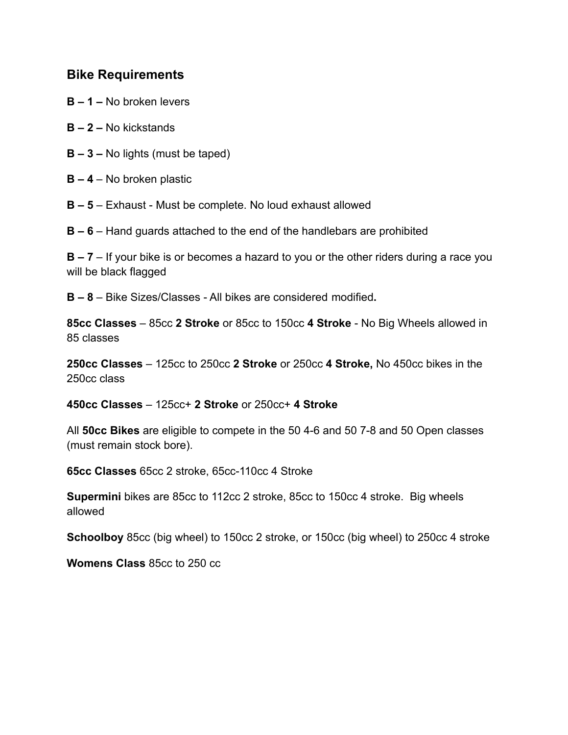#### **Bike Requirements**

- **B 1 –** No broken levers
- **B 2 –** No kickstands
- **B 3 –** No lights (must be taped)
- **B 4** No broken plastic
- **B 5** Exhaust Must be complete. No loud exhaust allowed
- **B 6** Hand guards attached to the end of the handlebars are prohibited

**B – 7** – If your bike is or becomes a hazard to you or the other riders during a race you will be black flagged

**B – 8** – Bike Sizes/Classes - All bikes are considered modified**.**

**85cc Classes** – 85cc **2 Stroke** or 85cc to 150cc **4 Stroke** - No Big Wheels allowed in 85 classes

**250cc Classes** – 125cc to 250cc **2 Stroke** or 250cc **4 Stroke,** No 450cc bikes in the 250cc class

**450cc Classes** – 125cc+ **2 Stroke** or 250cc+ **4 Stroke**

All **50cc Bikes** are eligible to compete in the 50 4-6 and 50 7-8 and 50 Open classes (must remain stock bore).

**65cc Classes** 65cc 2 stroke, 65cc-110cc 4 Stroke

**Supermini** bikes are 85cc to 112cc 2 stroke, 85cc to 150cc 4 stroke. Big wheels allowed

**Schoolboy** 85cc (big wheel) to 150cc 2 stroke, or 150cc (big wheel) to 250cc 4 stroke

**Womens Class** 85cc to 250 cc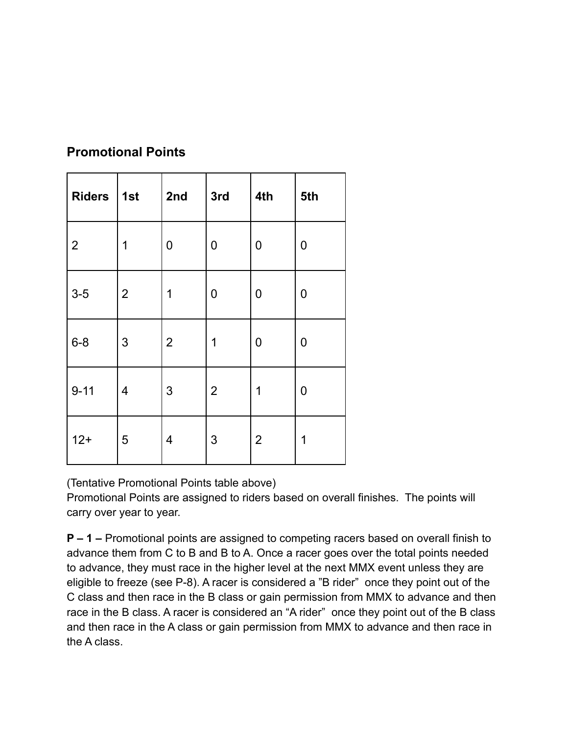| <b>Riders</b>  | 1st            | 2nd            | 3rd            | 4th            | 5th |
|----------------|----------------|----------------|----------------|----------------|-----|
| $\overline{2}$ | 1              | 0              | 0              | 0              | 0   |
| $3-5$          | $\overline{2}$ | 1              | 0              | 0              | 0   |
| $6 - 8$        | $\mathfrak{S}$ | $\overline{2}$ | 1              | 0              | 0   |
| $9 - 11$       | 4              | $\mathfrak{S}$ | $\overline{2}$ | 1              | 0   |
| $12+$          | 5              | 4              | $\mathfrak{S}$ | $\overline{2}$ | 1   |

## **Promotional Points**

(Tentative Promotional Points table above)

Promotional Points are assigned to riders based on overall finishes. The points will carry over year to year.

**P – 1 –** Promotional points are assigned to competing racers based on overall finish to advance them from C to B and B to A. Once a racer goes over the total points needed to advance, they must race in the higher level at the next MMX event unless they are eligible to freeze (see P-8). A racer is considered a "B rider" once they point out of the C class and then race in the B class or gain permission from MMX to advance and then race in the B class. A racer is considered an "A rider" once they point out of the B class and then race in the A class or gain permission from MMX to advance and then race in the A class.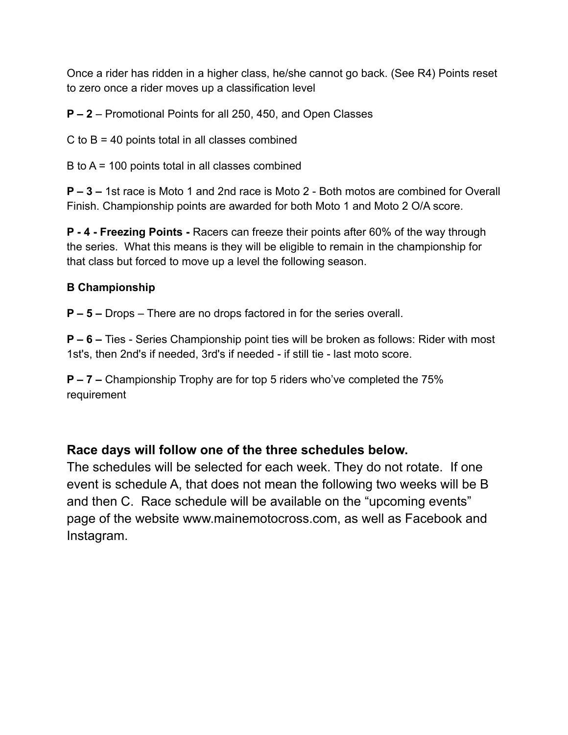Once a rider has ridden in a higher class, he/she cannot go back. (See R4) Points reset to zero once a rider moves up a classification level

**P – 2** – Promotional Points for all 250, 450, and Open Classes

 $C$  to  $B = 40$  points total in all classes combined

B to A = 100 points total in all classes combined

**P – 3 –** 1st race is Moto 1 and 2nd race is Moto 2 - Both motos are combined for Overall Finish. Championship points are awarded for both Moto 1 and Moto 2 O/A score.

**P - 4 - Freezing Points -** Racers can freeze their points after 60% of the way through the series. What this means is they will be eligible to remain in the championship for that class but forced to move up a level the following season.

#### **B Championship**

**P – 5 –** Drops – There are no drops factored in for the series overall.

**P – 6 –** Ties - Series Championship point ties will be broken as follows: Rider with most 1st's, then 2nd's if needed, 3rd's if needed - if still tie - last moto score.

**P – 7 –** Championship Trophy are for top 5 riders who've completed the 75% requirement

## **Race days will follow one of the three schedules below.**

The schedules will be selected for each week. They do not rotate. If one event is schedule A, that does not mean the following two weeks will be B and then C. Race schedule will be available on the "upcoming events" page of the website www.mainemotocross.com, as well as Facebook and Instagram.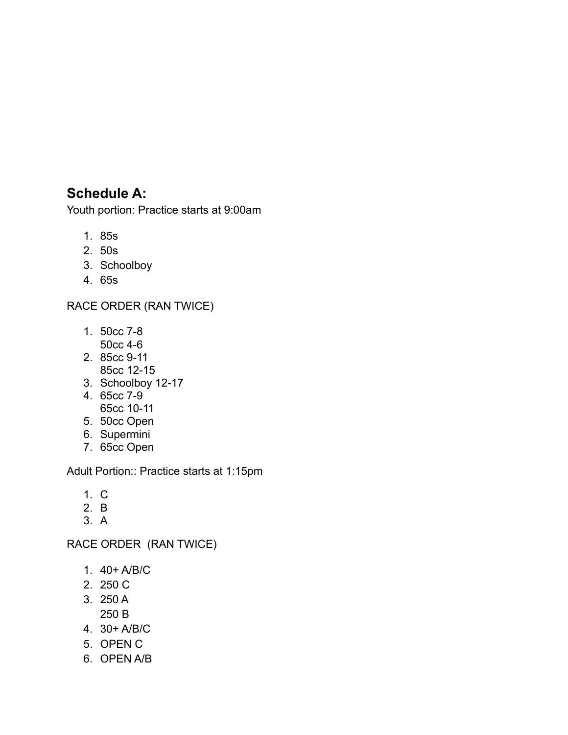## **Schedule A:**

Youth portion: Practice starts at 9:00am

- 1. 85s
- 2. 50s
- 3. Schoolboy
- 4. 65s

#### RACE ORDER (RAN TWICE)

- 1. 50cc 7-8 50cc 4-6
- 2. 85cc 9-11
- 85cc 12-15
- 3. Schoolboy 12-17
- 4. 65cc 7-9 65cc 10-11
- 5. 50cc Open
- 6. Supermini
- 7. 65cc Open

Adult Portion:: Practice starts at 1:15pm

- 1. C
- 2. B
- 3. A

RACE ORDER (RAN TWICE)

- 1. 40+ A/B/C
- 2. 250 C
- 3. 250 A 250 B
- 4. 30+ A/B/C
- 5. OPEN C
- 6. OPEN A/B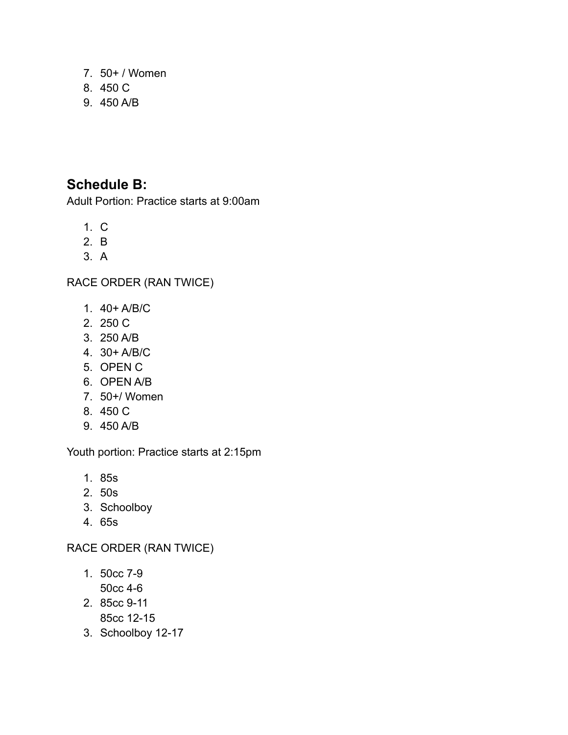- 7. 50+ / Women
- 8. 450 C
- 9. 450 A/B

## **Schedule B:**

Adult Portion: Practice starts at 9:00am

- 1. C
- 2. B
- 3. A

RACE ORDER (RAN TWICE)

- 1. 40+ A/B/C
- 2. 250 C
- 3. 250 A/B
- 4. 30+ A/B/C
- 5. OPEN C
- 6. OPEN A/B
- 7. 50+/ Women
- 8. 450 C
- 9. 450 A/B

Youth portion: Practice starts at 2:15pm

- 1. 85s
- 2. 50s
- 3. Schoolboy
- 4. 65s

RACE ORDER (RAN TWICE)

- 1. 50cc 7-9 50cc 4-6
- 2. 85cc 9-11 85cc 12-15
- 3. Schoolboy 12-17